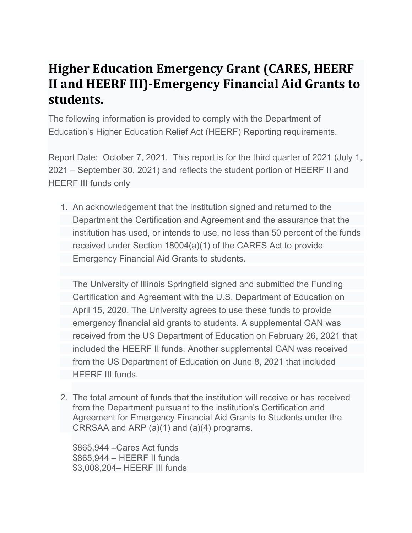## **Higher Education Emergency Grant (CARES, HEERF II and HEERF III)-Emergency Financial Aid Grants to students.**

The following information is provided to comply with the Department of Education's Higher Education Relief Act (HEERF) Reporting requirements.

Report Date: October 7, 2021. This report is for the third quarter of 2021 (July 1, 2021 – September 30, 2021) and reflects the student portion of HEERF II and HEERF III funds only

1. An acknowledgement that the institution signed and returned to the Department the Certification and Agreement and the assurance that the institution has used, or intends to use, no less than 50 percent of the funds received under Section 18004(a)(1) of the CARES Act to provide Emergency Financial Aid Grants to students.

The University of Illinois Springfield signed and submitted the Funding Certification and Agreement with the U.S. Department of Education on April 15, 2020. The University agrees to use these funds to provide emergency financial aid grants to students. A supplemental GAN was received from the US Department of Education on February 26, 2021 that included the HEERF II funds. Another supplemental GAN was received from the US Department of Education on June 8, 2021 that included HEERF III funds.

2. The total amount of funds that the institution will receive or has received from the Department pursuant to the institution's Certification and Agreement for Emergency Financial Aid Grants to Students under the CRRSAA and ARP (a)(1) and (a)(4) programs.

\$865,944 –Cares Act funds \$865,944 – HEERF II funds \$3,008,204– HEERF III funds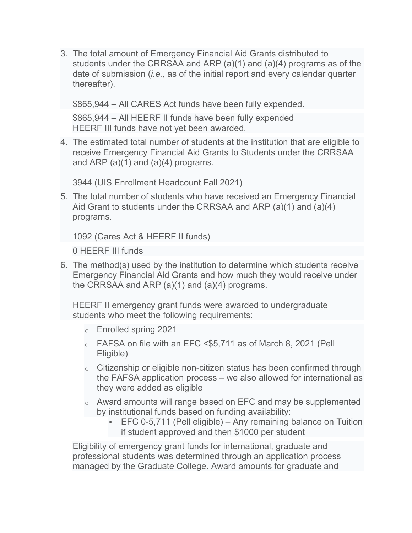3. The total amount of Emergency Financial Aid Grants distributed to students under the CRRSAA and ARP (a)(1) and (a)(4) programs as of the date of submission (*i.e.,* as of the initial report and every calendar quarter thereafter).

\$865,944 – All CARES Act funds have been fully expended.

\$865,944 – All HEERF II funds have been fully expended HEERF III funds have not yet been awarded.

4. The estimated total number of students at the institution that are eligible to receive Emergency Financial Aid Grants to Students under the CRRSAA and ARP  $(a)(1)$  and  $(a)(4)$  programs.

3944 (UIS Enrollment Headcount Fall 2021)

5. The total number of students who have received an Emergency Financial Aid Grant to students under the CRRSAA and ARP (a)(1) and (a)(4) programs.

1092 (Cares Act & HEERF II funds)

0 HEERF III funds

6. The method(s) used by the institution to determine which students receive Emergency Financial Aid Grants and how much they would receive under the CRRSAA and ARP (a)(1) and (a)(4) programs.

HEERF II emergency grant funds were awarded to undergraduate students who meet the following requirements:

- o Enrolled spring 2021
- o FAFSA on file with an EFC <\$5,711 as of March 8, 2021 (Pell Eligible)
- $\circ$  Citizenship or eligible non-citizen status has been confirmed through the FAFSA application process – we also allowed for international as they were added as eligible
- o Award amounts will range based on EFC and may be supplemented by institutional funds based on funding availability:
	- EFC 0-5,711 (Pell eligible) Any remaining balance on Tuition if student approved and then \$1000 per student

Eligibility of emergency grant funds for international, graduate and professional students was determined through an application process managed by the Graduate College. Award amounts for graduate and